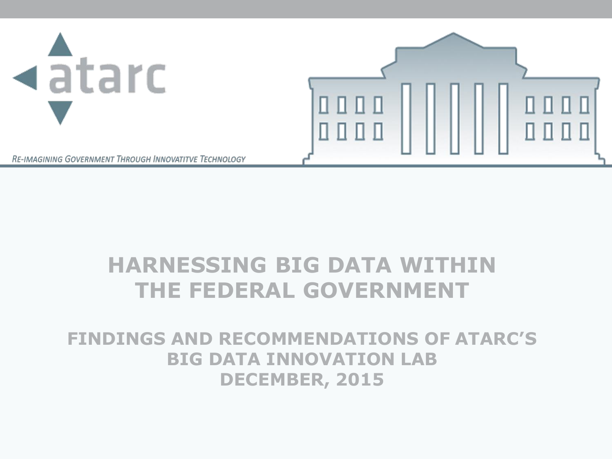

#### **HARNESSING BIG DATA WITHIN THE FEDERAL GOVERNMENT**

#### **FINDINGS AND RECOMMENDATIONS OF ATARC'S BIG DATA INNOVATION LAB DECEMBER, 2015**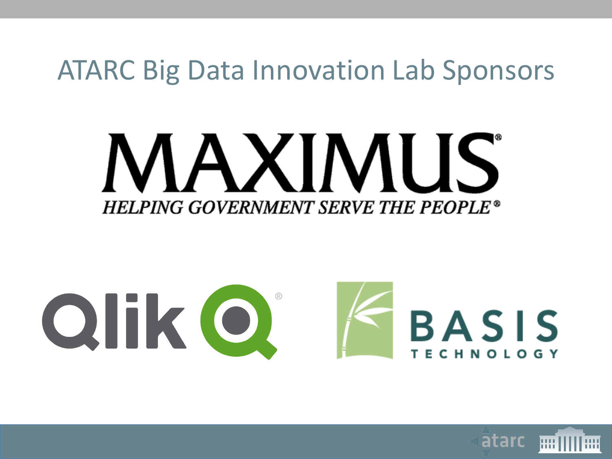#### ATARC Big Data Innovation Lab Sponsors

# MAXIMUS **HELPING GOVERNMENT SERVE THE PEOPLE®**



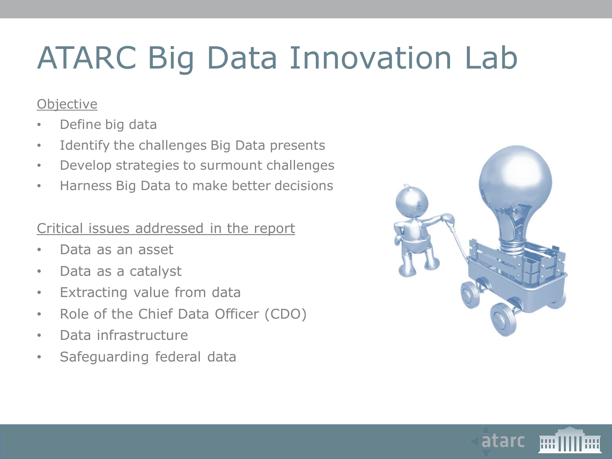# ATARC Big Data Innovation Lab

#### **Objective**

- Define big data
- Identify the challenges Big Data presents
- Develop strategies to surmount challenges
- Harness Big Data to make better decisions

#### Critical issues addressed in the report

- Data as an asset
- Data as a catalyst
- Extracting value from data
- Role of the Chief Data Officer (CDO)
- Data infrastructure
- Safeguarding federal data



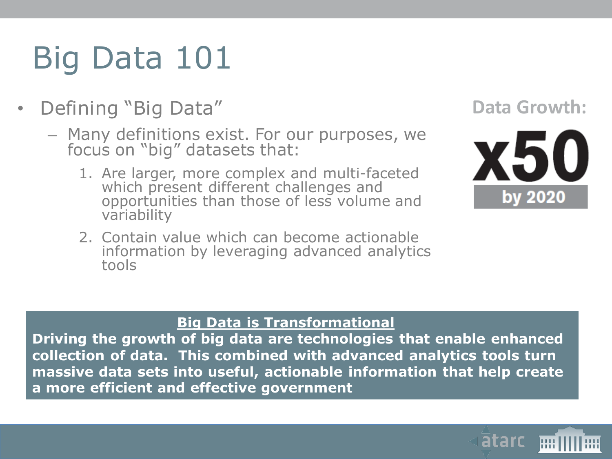# Big Data 101

- Defining "Big Data"
	- Many definitions exist. For our purposes, we focus on "big" datasets that:
		- 1. Are larger, more complex and multi-faceted which present different challenges and opportunities than those of less volume and variability
		- 2. Contain value which can become actionable information by leveraging advanced analytics tools

#### **Data Growth:**



#### **Big Data is Transformational**

**Driving the growth of big data are technologies that enable enhanced collection of data. This combined with advanced analytics tools turn massive data sets into useful, actionable information that help create a more efficient and effective government**

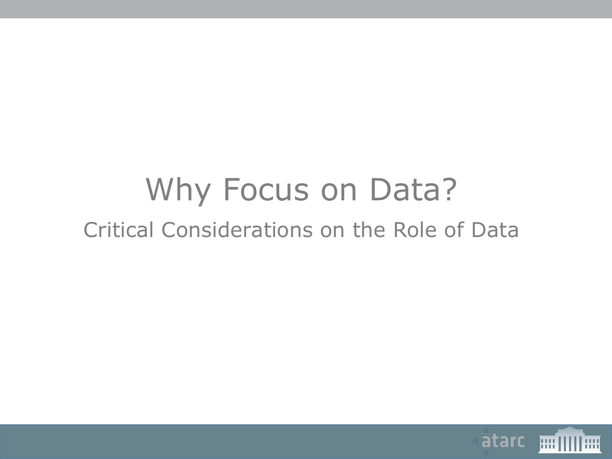#### Why Focus on Data? Critical Considerations on the Role of Data

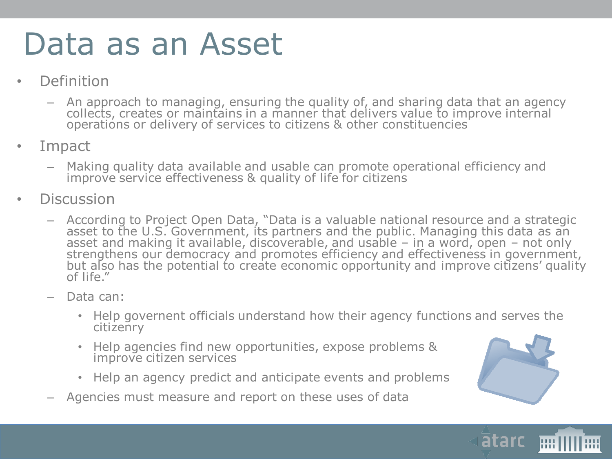#### Data as an Asset

- **Definition** 
	- An approach to managing, ensuring the quality of, and sharing data that an agency collects, creates or maintains in a manner that delivers value to improve internal operations or delivery of services to citizens & other constituencies
- Impact
	- Making quality data available and usable can promote operational efficiency and improve service effectiveness & quality of life for citizens
- **Discussion** 
	- According to Project Open Data, "Data is a valuable national resource and a strategic asset to the U.S. Government, its partners and the public. Managing this data as an asset and making it available, discoverable, and usable  $-$  in a word, open  $-$  not only strengthens our democracy and promotes efficiency and effectiveness in government, but also has the potential to create economic opportunity and improve citizens' quality of life."
	- Data can:
		- Help governent officials understand how their agency functions and serves the citizenry
		- Help agencies find new opportunities, expose problems & improve citizen services
		- Help an agency predict and anticipate events and problems
	- Agencies must measure and report on these uses of data



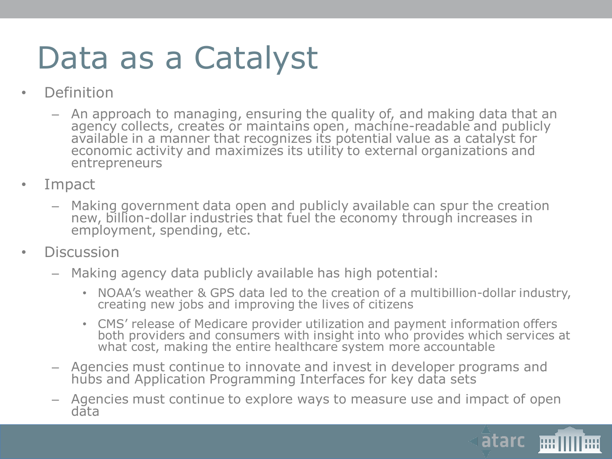### Data as a Catalyst

- Definition
	- An approach to managing, ensuring the quality of, and making data that an agency collects, creates or maintains open, machine-readable and publicly available in a manner that recognizes its potential value as a catalyst for economic activity and maximizes its utility to external organizations and entrepreneurs
- Impact
	- Making government data open and publicly available can spur the creation new, billion-dollar industries that fuel the economy through increases in employment, spending, etc.
- Discussion
	- Making agency data publicly available has high potential:
		- NOAA's weather & GPS data led to the creation of a multibillion-dollar industry, creating new jobs and improving the lives of citizens
		- CMS' release of Medicare provider utilization and payment information offers both providers and consumers with insight into who provides which services at what cost, making the entire healthcare system more accountable
	- Agencies must continue to innovate and invest in developer programs and hubs and Application Programming Interfaces for key data sets
	- Agencies must continue to explore ways to measure use and impact of open data

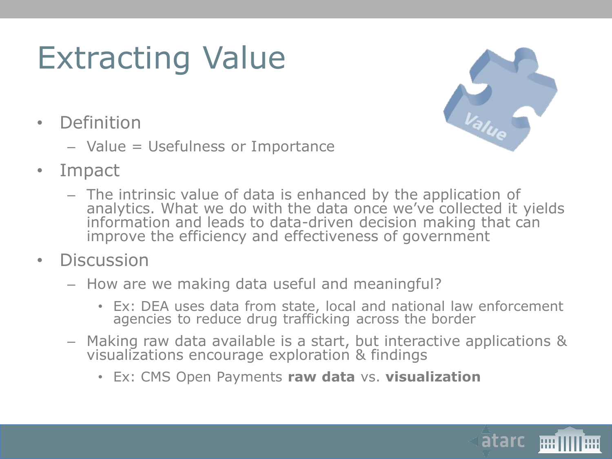## Extracting Value

- Definition
	- Value = Usefulness or Importance



- Impact
	- The intrinsic value of data is enhanced by the application of analytics. What we do with the data once we've collected it yields information and leads to data-driven decision making that can improve the efficiency and effectiveness of government
- Discussion
	- How are we making data useful and meaningful?
		- Ex: DEA uses data from state, local and national law enforcement agencies to reduce drug trafficking across the border
	- Making raw data available is a start, but interactive applications & visualizations encourage exploration & findings
		- Ex: CMS Open Payments **raw data** vs. **visualization**

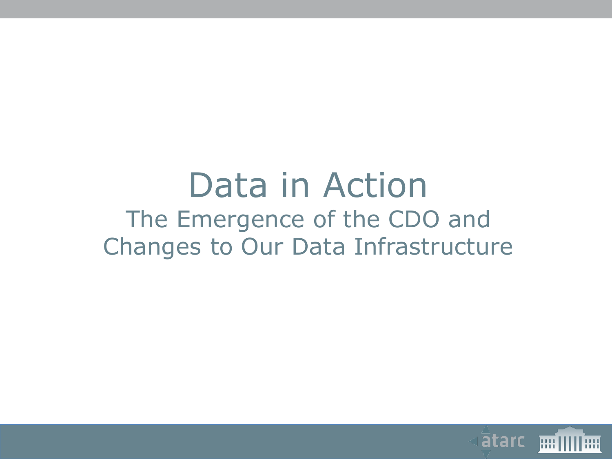#### Data in Action The Emergence of the CDO and Changes to Our Data Infrastructure

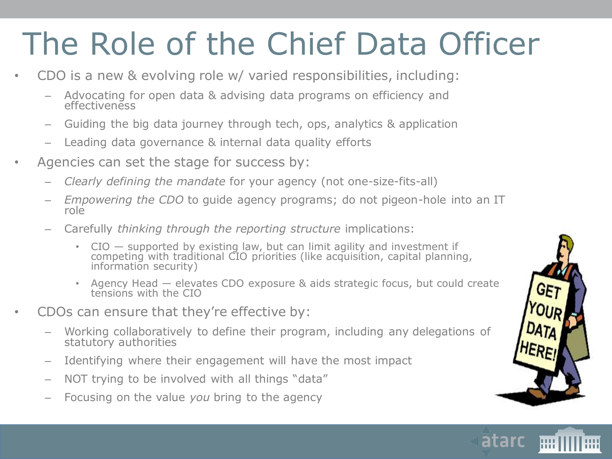# The Role of the Chief Data Officer

- CDO is a new & evolving role w/ varied responsibilities, including:
	- Advocating for open data & advising data programs on efficiency and effectiveness
	- Guiding the big data journey through tech, ops, analytics & application
	- Leading data governance & internal data quality efforts
- Agencies can set the stage for success by:
	- *Clearly defining the mandate* for your agency (not one-size-fits-all)
	- *Empowering the CDO* to guide agency programs; do not pigeon-hole into an IT role
	- Carefully *thinking through the reporting structure* implications:
		- CIO supported by existing law, but can limit agility and investment if competing with traditional CIO priorities (like acquisition, capital planning, information security)
		- Agency Head elevates CDO exposure & aids strategic focus, but could create tensions with the CIO
- CDOs can ensure that they're effective by:
	- Working collaboratively to define their program, including any delegations of statutory authorities
	- Identifying where their engagement will have the most impact
	- NOT trying to be involved with all things "data"
	- Focusing on the value *you* bring to the agency



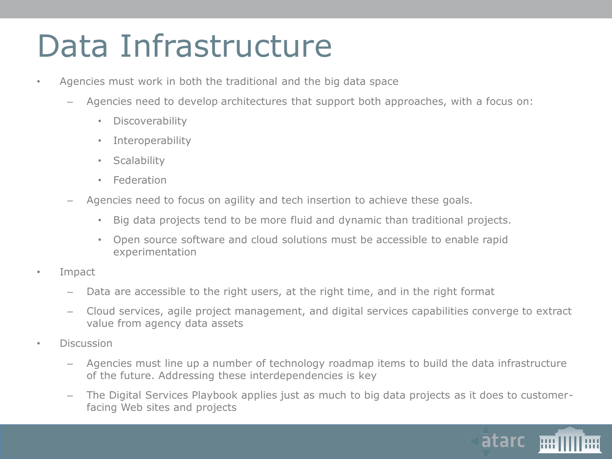#### Data Infrastructure

- Agencies must work in both the traditional and the big data space
	- Agencies need to develop architectures that support both approaches, with a focus on:
		- Discoverability
		- Interoperability
		- Scalability
		- Federation
	- Agencies need to focus on agility and tech insertion to achieve these goals.
		- Big data projects tend to be more fluid and dynamic than traditional projects.
		- Open source software and cloud solutions must be accessible to enable rapid experimentation
- Impact
	- Data are accessible to the right users, at the right time, and in the right format
	- Cloud services, agile project management, and digital services capabilities converge to extract value from agency data assets
- Discussion
	- Agencies must line up a number of technology roadmap items to build the data infrastructure of the future. Addressing these interdependencies is key
	- The Digital Services Playbook applies just as much to big data projects as it does to customerfacing Web sites and projects

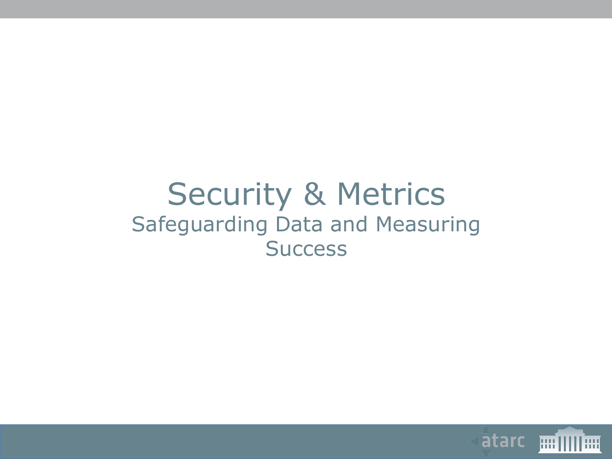#### Security & Metrics Safeguarding Data and Measuring **Success**

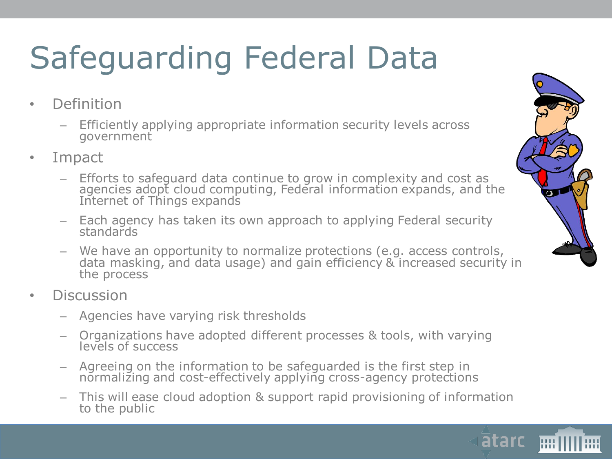# Safeguarding Federal Data

- Definition
	- Efficiently applying appropriate information security levels across government
- Impact
	- Efforts to safeguard data continue to grow in complexity and cost as agencies adopt cloud computing, Federal information expands, and the Internet of Things expands
	- Each agency has taken its own approach to applying Federal security standards
	- We have an opportunity to normalize protections (e.g. access controls, data masking, and data usage) and gain efficiency & increased security in the process
- **Discussion** 
	- Agencies have varying risk thresholds
	- Organizations have adopted different processes & tools, with varying levels of success
	- Agreeing on the information to be safeguarded is the first step in normalizing and cost-effectively applying cross-agency protections
	- This will ease cloud adoption & support rapid provisioning of information to the public



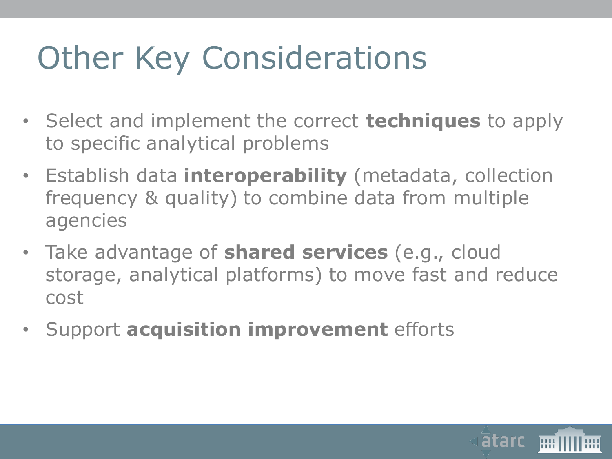## Other Key Considerations

- Select and implement the correct **techniques** to apply to specific analytical problems
- Establish data **interoperability** (metadata, collection frequency & quality) to combine data from multiple agencies
- Take advantage of **shared services** (e.g., cloud storage, analytical platforms) to move fast and reduce cost
- Support **acquisition improvement** efforts

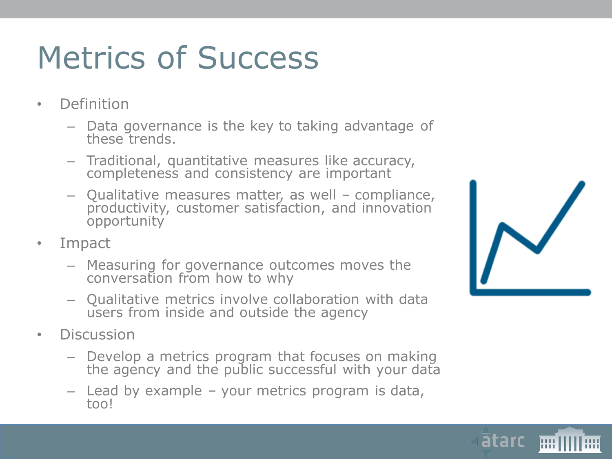## Metrics of Success

- Definition
	- Data governance is the key to taking advantage of these trends.
	- Traditional, quantitative measures like accuracy, completeness and consistency are important
	- Qualitative measures matter, as well compliance, productivity, customer satisfaction, and innovation opportunity
- Impact
	- Measuring for governance outcomes moves the conversation from how to why
	- Qualitative metrics involve collaboration with data users from inside and outside the agency
- Discussion
	- Develop a metrics program that focuses on making the agency and the public successful with your data
	- Lead by example your metrics program is data, too!

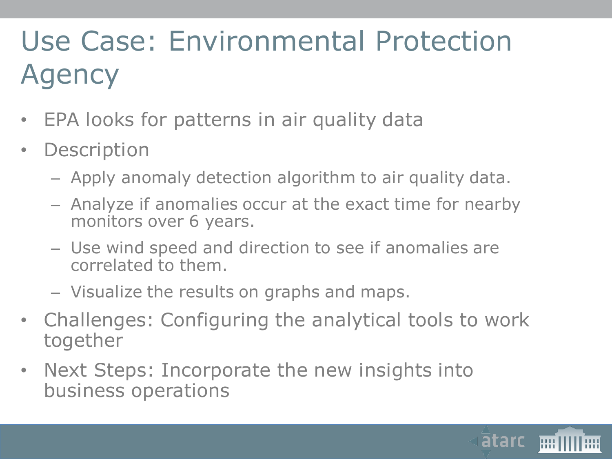#### Use Case: Environmental Protection Agency

- EPA looks for patterns in air quality data
- Description
	- Apply anomaly detection algorithm to air quality data.
	- Analyze if anomalies occur at the exact time for nearby monitors over 6 years.
	- Use wind speed and direction to see if anomalies are correlated to them.
	- Visualize the results on graphs and maps.
- Challenges: Configuring the analytical tools to work together
- Next Steps: Incorporate the new insights into business operations

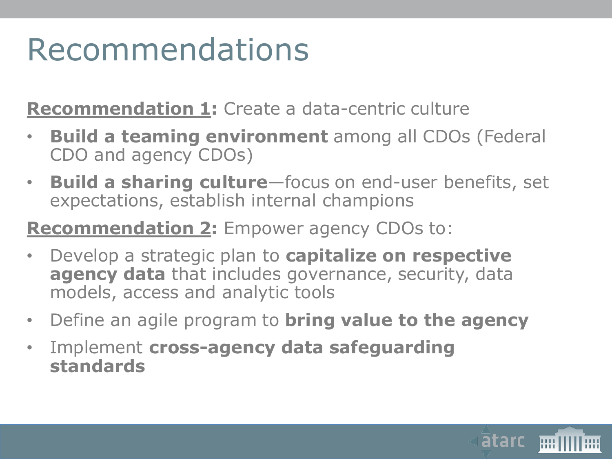### Recommendations

**Recommendation 1:** Create a data-centric culture

- **Build a teaming environment** among all CDOs (Federal CDO and agency CDOs)
- **Build a sharing culture**—focus on end-user benefits, set expectations, establish internal champions

#### **Recommendation 2:** Empower agency CDOs to:

- Develop a strategic plan to **capitalize on respective agency data** that includes governance, security, data models, access and analytic tools
- Define an agile program to **bring value to the agency**
- Implement **cross-agency data safeguarding standards**

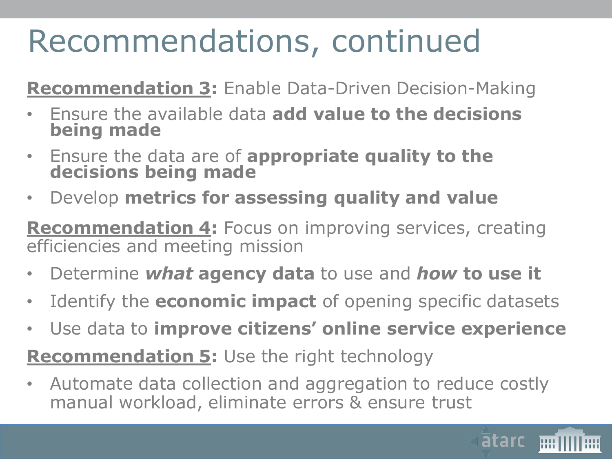## Recommendations, continued

**Recommendation 3:** Enable Data-Driven Decision-Making

- Ensure the available data **add value to the decisions being made**
- Ensure the data are of **appropriate quality to the decisions being made**
- Develop **metrics for assessing quality and value**

**Recommendation 4:** Focus on improving services, creating efficiencies and meeting mission

- Determine *what* **agency data** to use and *how* **to use it**
- Identify the **economic impact** of opening specific datasets
- Use data to **improve citizens' online service experience**

**Recommendation 5:** Use the right technology

• Automate data collection and aggregation to reduce costly manual workload, eliminate errors & ensure trust

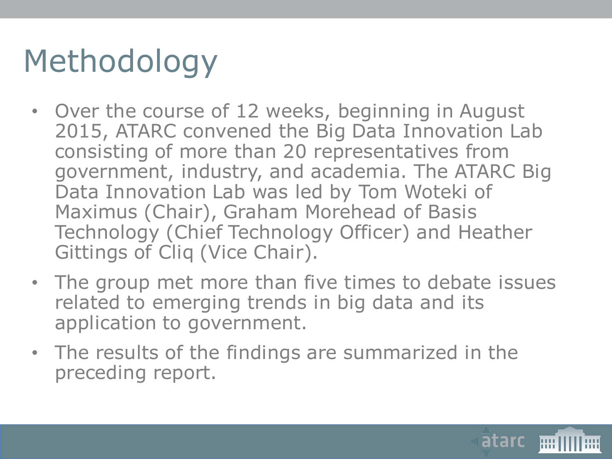# Methodology

- Over the course of 12 weeks, beginning in August 2015, ATARC convened the Big Data Innovation Lab consisting of more than 20 representatives from government, industry, and academia. The ATARC Big Data Innovation Lab was led by Tom Woteki of Maximus (Chair), Graham Morehead of Basis Technology (Chief Technology Officer) and Heather Gittings of Cliq (Vice Chair).
- The group met more than five times to debate issues related to emerging trends in big data and its application to government.
- The results of the findings are summarized in the preceding report.

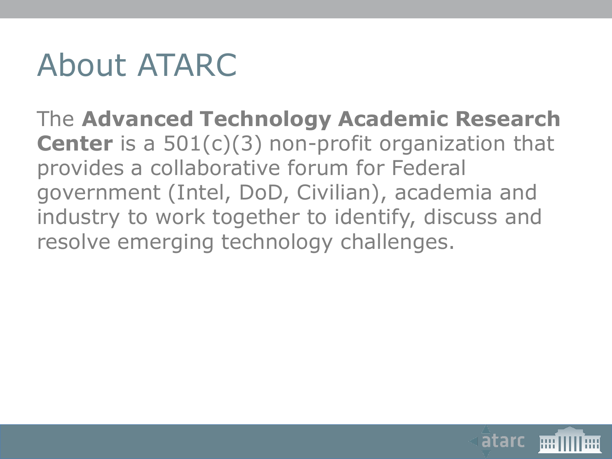#### About ATARC

The **Advanced Technology Academic Research Center** is a 501(c)(3) non-profit organization that provides a collaborative forum for Federal government (Intel, DoD, Civilian), academia and industry to work together to identify, discuss and resolve emerging technology challenges.